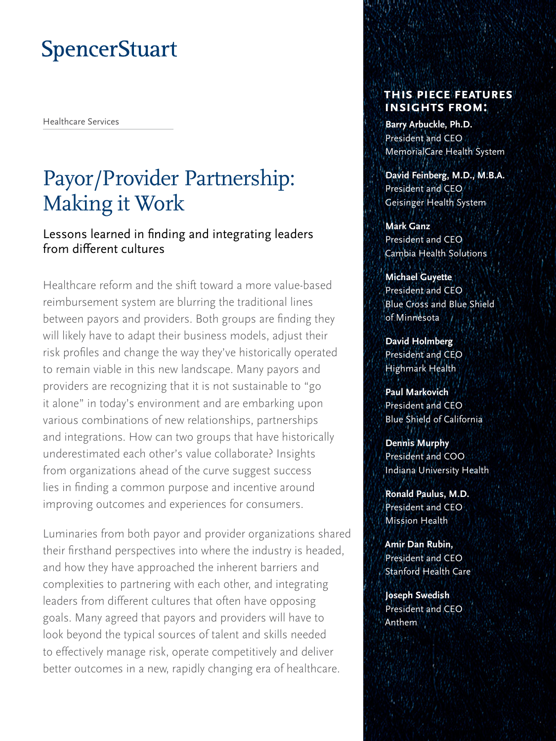# **SpencerStuart**

Healthcare Services

# Payor/Provider Partnership: Making it Work

Lessons learned in finding and integrating leaders from different cultures

Healthcare reform and the shift toward a more value-based reimbursement system are blurring the traditional lines between payors and providers. Both groups are finding they will likely have to adapt their business models, adjust their risk profiles and change the way they've historically operated to remain viable in this new landscape. Many payors and providers are recognizing that it is not sustainable to "go it alone" in today's environment and are embarking upon various combinations of new relationships, partnerships and integrations. How can two groups that have historically underestimated each other's value collaborate? Insights from organizations ahead of the curve suggest success lies in finding a common purpose and incentive around improving outcomes and experiences for consumers.

Luminaries from both payor and provider organizations shared their firsthand perspectives into where the industry is headed, and how they have approached the inherent barriers and complexities to partnering with each other, and integrating leaders from different cultures that often have opposing goals. Many agreed that payors and providers will have to look beyond the typical sources of talent and skills needed to effectively manage risk, operate competitively and deliver better outcomes in a new, rapidly changing era of healthcare.

### **This piece features insights from:**

**Barry Arbuckle, Ph.D.**  President and CEO MemorialCare Health System

**David Feinberg, M.D., M.B.A.**  President and CEO/ Geisinger Health System

**Mark Ganz**  President and CEO Cambia Health Solutions

**Michael Guyette**  President and CEO Blue Cross and Blue Shield of Minnesota

**David Holmberg**  President and CEO Highmark Health

**Paul Markovich**  President and CEO Blue Shield of California

**Dennis Murphy**  President and COO Indiana University Health

**Ronald Paulus, M.D.**  President and CEO Mission Health

**Amir Dan Rubin,**  President and CEO Stanford Health Care

**Joseph Swedish**  President and CEO Anthem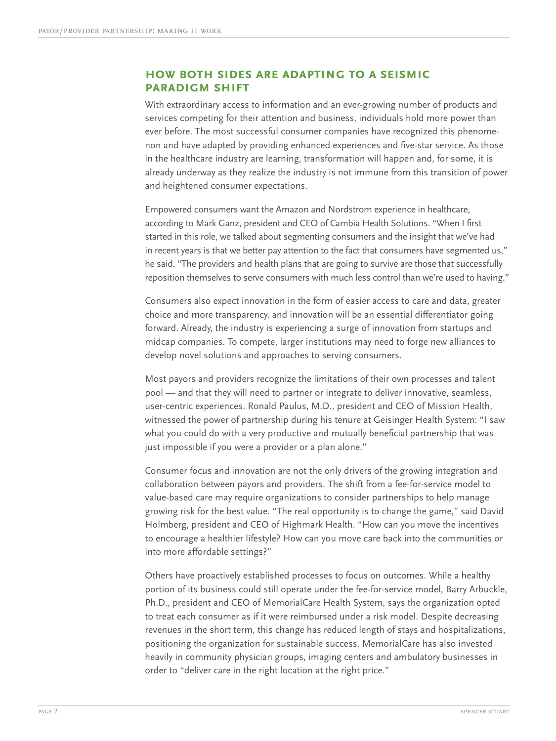#### **How both sides are adapting to a seismic paradigm shift**

With extraordinary access to information and an ever-growing number of products and services competing for their attention and business, individuals hold more power than ever before. The most successful consumer companies have recognized this phenomenon and have adapted by providing enhanced experiences and five-star service. As those in the healthcare industry are learning, transformation will happen and, for some, it is already underway as they realize the industry is not immune from this transition of power and heightened consumer expectations.

Empowered consumers want the Amazon and Nordstrom experience in healthcare, according to Mark Ganz, president and CEO of Cambia Health Solutions. "When I first started in this role, we talked about segmenting consumers and the insight that we've had in recent years is that we better pay attention to the fact that consumers have segmented us," he said. "The providers and health plans that are going to survive are those that successfully reposition themselves to serve consumers with much less control than we're used to having."

Consumers also expect innovation in the form of easier access to care and data, greater choice and more transparency, and innovation will be an essential differentiator going forward. Already, the industry is experiencing a surge of innovation from startups and midcap companies. To compete, larger institutions may need to forge new alliances to develop novel solutions and approaches to serving consumers.

Most payors and providers recognize the limitations of their own processes and talent pool — and that they will need to partner or integrate to deliver innovative, seamless, user-centric experiences. Ronald Paulus, M.D., president and CEO of Mission Health, witnessed the power of partnership during his tenure at Geisinger Health System: "I saw what you could do with a very productive and mutually beneficial partnership that was just impossible if you were a provider or a plan alone."

Consumer focus and innovation are not the only drivers of the growing integration and collaboration between payors and providers. The shift from a fee-for-service model to value-based care may require organizations to consider partnerships to help manage growing risk for the best value. "The real opportunity is to change the game," said David Holmberg, president and CEO of Highmark Health. "How can you move the incentives to encourage a healthier lifestyle? How can you move care back into the communities or into more affordable settings?"

Others have proactively established processes to focus on outcomes. While a healthy portion of its business could still operate under the fee-for-service model, Barry Arbuckle, Ph.D., president and CEO of MemorialCare Health System, says the organization opted to treat each consumer as if it were reimbursed under a risk model. Despite decreasing revenues in the short term, this change has reduced length of stays and hospitalizations, positioning the organization for sustainable success. MemorialCare has also invested heavily in community physician groups, imaging centers and ambulatory businesses in order to "deliver care in the right location at the right price."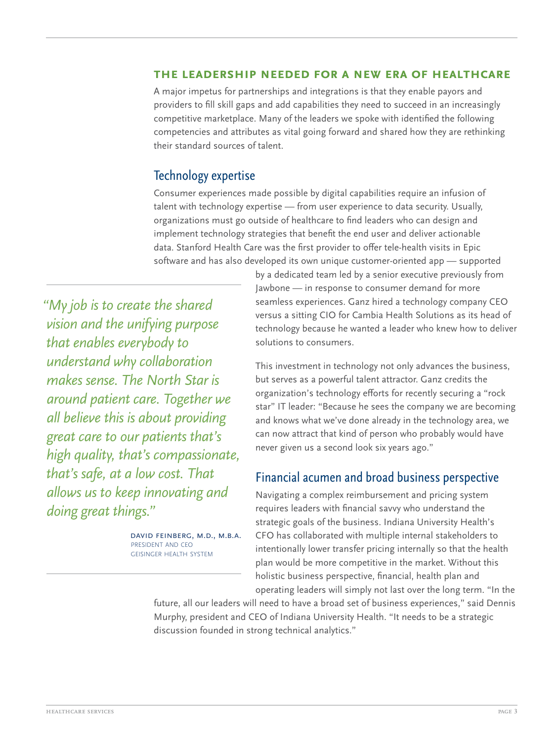#### **The leadership needed for a new era of healthcare**

A major impetus for partnerships and integrations is that they enable payors and providers to fill skill gaps and add capabilities they need to succeed in an increasingly competitive marketplace. Many of the leaders we spoke with identified the following competencies and attributes as vital going forward and shared how they are rethinking their standard sources of talent.

## Technology expertise

Consumer experiences made possible by digital capabilities require an infusion of talent with technology expertise — from user experience to data security. Usually, organizations must go outside of healthcare to find leaders who can design and implement technology strategies that benefit the end user and deliver actionable data. Stanford Health Care was the first provider to offer tele-health visits in Epic software and has also developed its own unique customer-oriented app — supported

*"My job is to create the shared vision and the unifying purpose that enables everybody to understand why collaboration makes sense. The North Star is around patient care. Together we all believe this is about providing great care to our patients that's high quality, that's compassionate, that's safe, at a low cost. That allows us to keep innovating and doing great things."*

> DAVID FEINBERG, M.D., M.B.A. president and ceo geisinger health system

by a dedicated team led by a senior executive previously from Jawbone — in response to consumer demand for more seamless experiences. Ganz hired a technology company CEO versus a sitting CIO for Cambia Health Solutions as its head of technology because he wanted a leader who knew how to deliver solutions to consumers.

This investment in technology not only advances the business, but serves as a powerful talent attractor. Ganz credits the organization's technology efforts for recently securing a "rock star" IT leader: "Because he sees the company we are becoming and knows what we've done already in the technology area, we can now attract that kind of person who probably would have never given us a second look six years ago."

### Financial acumen and broad business perspective

Navigating a complex reimbursement and pricing system requires leaders with financial savvy who understand the strategic goals of the business. Indiana University Health's CFO has collaborated with multiple internal stakeholders to intentionally lower transfer pricing internally so that the health plan would be more competitive in the market. Without this holistic business perspective, financial, health plan and operating leaders will simply not last over the long term. "In the

future, all our leaders will need to have a broad set of business experiences," said Dennis Murphy, president and CEO of Indiana University Health. "It needs to be a strategic discussion founded in strong technical analytics."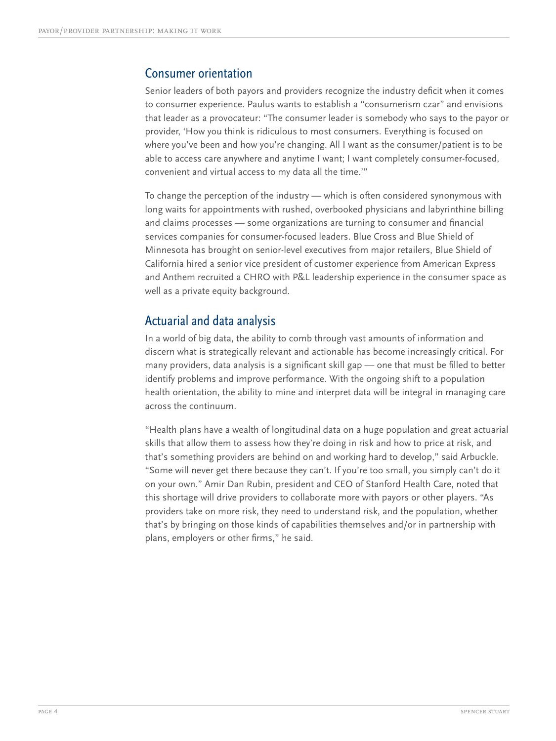### Consumer orientation

Senior leaders of both payors and providers recognize the industry deficit when it comes to consumer experience. Paulus wants to establish a "consumerism czar" and envisions that leader as a provocateur: "The consumer leader is somebody who says to the payor or provider, 'How you think is ridiculous to most consumers. Everything is focused on where you've been and how you're changing. All I want as the consumer/patient is to be able to access care anywhere and anytime I want; I want completely consumer-focused, convenient and virtual access to my data all the time.'"

To change the perception of the industry — which is often considered synonymous with long waits for appointments with rushed, overbooked physicians and labyrinthine billing and claims processes — some organizations are turning to consumer and financial services companies for consumer-focused leaders. Blue Cross and Blue Shield of Minnesota has brought on senior-level executives from major retailers, Blue Shield of California hired a senior vice president of customer experience from American Express and Anthem recruited a CHRO with P&L leadership experience in the consumer space as well as a private equity background.

## Actuarial and data analysis

In a world of big data, the ability to comb through vast amounts of information and discern what is strategically relevant and actionable has become increasingly critical. For many providers, data analysis is a significant skill gap — one that must be filled to better identify problems and improve performance. With the ongoing shift to a population health orientation, the ability to mine and interpret data will be integral in managing care across the continuum.

"Health plans have a wealth of longitudinal data on a huge population and great actuarial skills that allow them to assess how they're doing in risk and how to price at risk, and that's something providers are behind on and working hard to develop," said Arbuckle. "Some will never get there because they can't. If you're too small, you simply can't do it on your own." Amir Dan Rubin, president and CEO of Stanford Health Care, noted that this shortage will drive providers to collaborate more with payors or other players. "As providers take on more risk, they need to understand risk, and the population, whether that's by bringing on those kinds of capabilities themselves and/or in partnership with plans, employers or other firms," he said.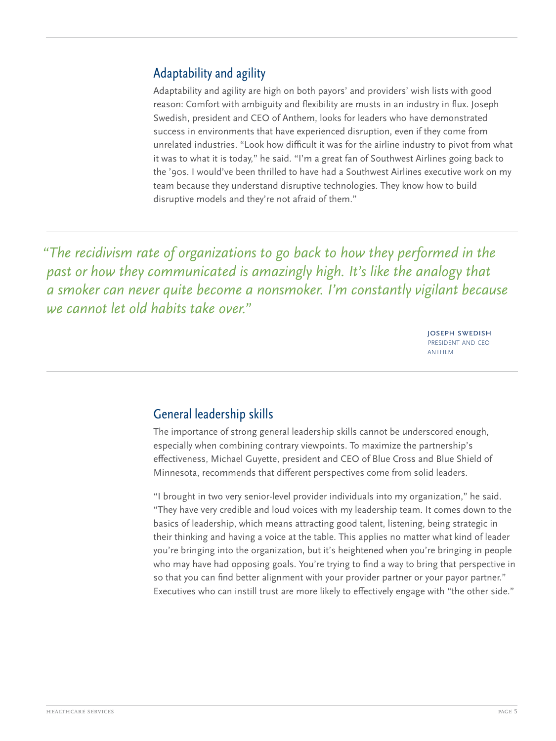# Adaptability and agility

Adaptability and agility are high on both payors' and providers' wish lists with good reason: Comfort with ambiguity and flexibility are musts in an industry in flux. Joseph Swedish, president and CEO of Anthem, looks for leaders who have demonstrated success in environments that have experienced disruption, even if they come from unrelated industries. "Look how difficult it was for the airline industry to pivot from what it was to what it is today," he said. "I'm a great fan of Southwest Airlines going back to the '90s. I would've been thrilled to have had a Southwest Airlines executive work on my team because they understand disruptive technologies. They know how to build disruptive models and they're not afraid of them."

*"The recidivism rate of organizations to go back to how they performed in the past or how they communicated is amazingly high. It's like the analogy that a smoker can never quite become a nonsmoker. I'm constantly vigilant because we cannot let old habits take over."*

> joseph swedish president and ceo anthem

# General leadership skills

The importance of strong general leadership skills cannot be underscored enough, especially when combining contrary viewpoints. To maximize the partnership's effectiveness, Michael Guyette, president and CEO of Blue Cross and Blue Shield of Minnesota, recommends that different perspectives come from solid leaders.

"I brought in two very senior-level provider individuals into my organization," he said. "They have very credible and loud voices with my leadership team. It comes down to the basics of leadership, which means attracting good talent, listening, being strategic in their thinking and having a voice at the table. This applies no matter what kind of leader you're bringing into the organization, but it's heightened when you're bringing in people who may have had opposing goals. You're trying to find a way to bring that perspective in so that you can find better alignment with your provider partner or your payor partner." Executives who can instill trust are more likely to effectively engage with "the other side."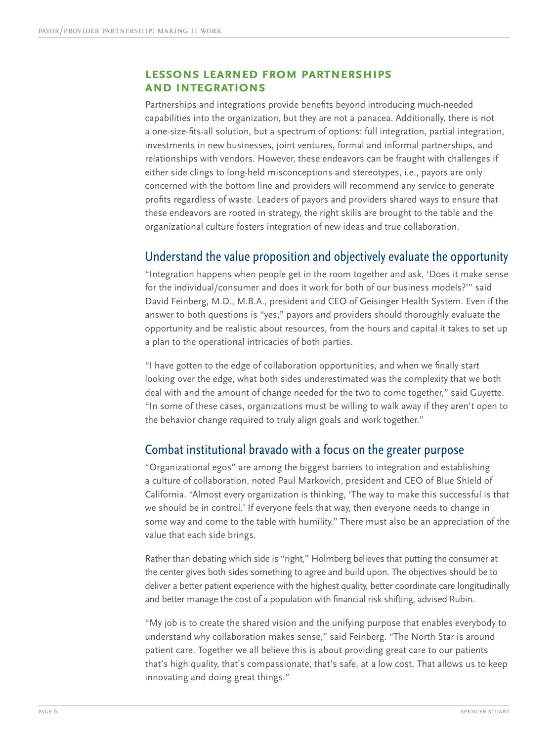#### **Lessons learned from partnerships and integrations**

Partnerships and integrations provide benefits beyond introducing much-needed capabilities into the organization, but they are not a panacea. Additionally, there is not a one-size-fits-all solution, but a spectrum of options: full integration, partial integration, investments in new businesses, joint ventures, formal and informal partnerships, and relationships with vendors. However, these endeavors can be fraught with challenges if either side clings to long-held misconceptions and stereotypes, i.e., payors are only concerned with the bottom line and providers will recommend any service to generate profits regardless of waste. Leaders of payors and providers shared ways to ensure that these endeavors are rooted in strategy, the right skills are brought to the table and the organizational culture fosters integration of new ideas and true collaboration.

## Understand the value proposition and objectively evaluate the opportunity

"Integration happens when people get in the room together and ask, 'Does it make sense for the individual/consumer and does it work for both of our business models?'" said David Feinberg, M.D., M.B.A., president and CEO of Geisinger Health System. Even if the answer to both questions is "yes," payors and providers should thoroughly evaluate the opportunity and be realistic about resources, from the hours and capital it takes to set up a plan to the operational intricacies of both parties.

"I have gotten to the edge of collaboration opportunities, and when we finally start looking over the edge, what both sides underestimated was the complexity that we both deal with and the amount of change needed for the two to come together," said Guyette. "In some of these cases, organizations must be willing to walk away if they aren't open to the behavior change required to truly align goals and work together."

## Combat institutional bravado with a focus on the greater purpose

"Organizational egos" are among the biggest barriers to integration and establishing a culture of collaboration, noted Paul Markovich, president and CEO of Blue Shield of California. "Almost every organization is thinking, 'The way to make this successful is that we should be in control.' If everyone feels that way, then everyone needs to change in some way and come to the table with humility." There must also be an appreciation of the value that each side brings.

Rather than debating which side is "right," Holmberg believes that putting the consumer at the center gives both sides something to agree and build upon. The objectives should be to deliver a better patient experience with the highest quality, better coordinate care longitudinally and better manage the cost of a population with financial risk shifting, advised Rubin.

"My job is to create the shared vision and the unifying purpose that enables everybody to understand why collaboration makes sense," said Feinberg. "The North Star is around patient care. Together we all believe this is about providing great care to our patients that's high quality, that's compassionate, that's safe, at a low cost. That allows us to keep innovating and doing great things."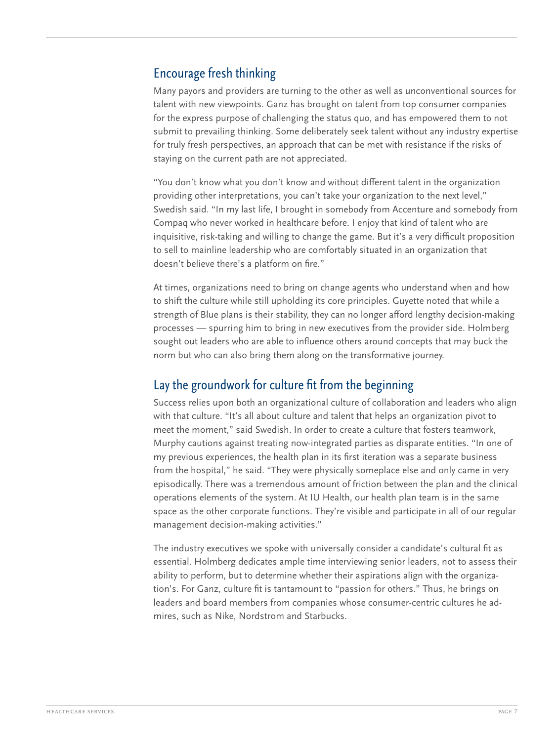## Encourage fresh thinking

Many payors and providers are turning to the other as well as unconventional sources for talent with new viewpoints. Ganz has brought on talent from top consumer companies for the express purpose of challenging the status quo, and has empowered them to not submit to prevailing thinking. Some deliberately seek talent without any industry expertise for truly fresh perspectives, an approach that can be met with resistance if the risks of staying on the current path are not appreciated.

"You don't know what you don't know and without different talent in the organization providing other interpretations, you can't take your organization to the next level," Swedish said. "In my last life, I brought in somebody from Accenture and somebody from Compaq who never worked in healthcare before. I enjoy that kind of talent who are inquisitive, risk-taking and willing to change the game. But it's a very difficult proposition to sell to mainline leadership who are comfortably situated in an organization that doesn't believe there's a platform on fire."

At times, organizations need to bring on change agents who understand when and how to shift the culture while still upholding its core principles. Guyette noted that while a strength of Blue plans is their stability, they can no longer afford lengthy decision-making processes — spurring him to bring in new executives from the provider side. Holmberg sought out leaders who are able to influence others around concepts that may buck the norm but who can also bring them along on the transformative journey.

## Lay the groundwork for culture fit from the beginning

Success relies upon both an organizational culture of collaboration and leaders who align with that culture. "It's all about culture and talent that helps an organization pivot to meet the moment," said Swedish. In order to create a culture that fosters teamwork, Murphy cautions against treating now-integrated parties as disparate entities. "In one of my previous experiences, the health plan in its first iteration was a separate business from the hospital," he said. "They were physically someplace else and only came in very episodically. There was a tremendous amount of friction between the plan and the clinical operations elements of the system. At IU Health, our health plan team is in the same space as the other corporate functions. They're visible and participate in all of our regular management decision-making activities."

The industry executives we spoke with universally consider a candidate's cultural fit as essential. Holmberg dedicates ample time interviewing senior leaders, not to assess their ability to perform, but to determine whether their aspirations align with the organization's. For Ganz, culture fit is tantamount to "passion for others." Thus, he brings on leaders and board members from companies whose consumer-centric cultures he admires, such as Nike, Nordstrom and Starbucks.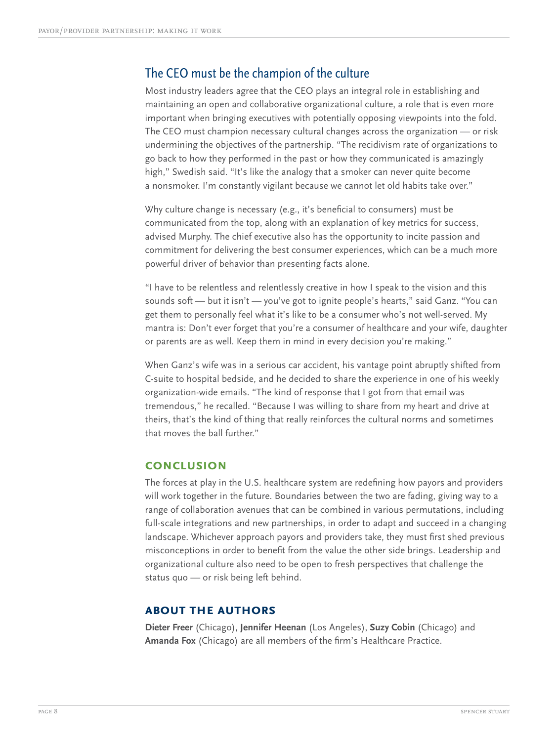## The CEO must be the champion of the culture

Most industry leaders agree that the CEO plays an integral role in establishing and maintaining an open and collaborative organizational culture, a role that is even more important when bringing executives with potentially opposing viewpoints into the fold. The CEO must champion necessary cultural changes across the organization — or risk undermining the objectives of the partnership. "The recidivism rate of organizations to go back to how they performed in the past or how they communicated is amazingly high," Swedish said. "It's like the analogy that a smoker can never quite become a nonsmoker. I'm constantly vigilant because we cannot let old habits take over."

Why culture change is necessary (e.g., it's beneficial to consumers) must be communicated from the top, along with an explanation of key metrics for success, advised Murphy. The chief executive also has the opportunity to incite passion and commitment for delivering the best consumer experiences, which can be a much more powerful driver of behavior than presenting facts alone.

"I have to be relentless and relentlessly creative in how I speak to the vision and this sounds soft — but it isn't — you've got to ignite people's hearts," said Ganz. "You can get them to personally feel what it's like to be a consumer who's not well-served. My mantra is: Don't ever forget that you're a consumer of healthcare and your wife, daughter or parents are as well. Keep them in mind in every decision you're making."

When Ganz's wife was in a serious car accident, his vantage point abruptly shifted from C-suite to hospital bedside, and he decided to share the experience in one of his weekly organization-wide emails. "The kind of response that I got from that email was tremendous," he recalled. "Because I was willing to share from my heart and drive at theirs, that's the kind of thing that really reinforces the cultural norms and sometimes that moves the ball further."

#### **Conclusion**

The forces at play in the U.S. healthcare system are redefining how payors and providers will work together in the future. Boundaries between the two are fading, giving way to a range of collaboration avenues that can be combined in various permutations, including full-scale integrations and new partnerships, in order to adapt and succeed in a changing landscape. Whichever approach payors and providers take, they must first shed previous misconceptions in order to benefit from the value the other side brings. Leadership and organizational culture also need to be open to fresh perspectives that challenge the status quo — or risk being left behind.

#### **about the authors**

**Dieter Freer** (Chicago), **Jennifer Heenan** (Los Angeles), **Suzy Cobin** (Chicago) and **Amanda Fox** (Chicago) are all members of the firm's Healthcare Practice.